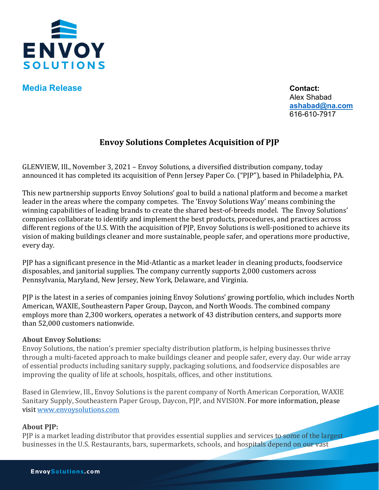

**Media Release Contact:** 

Alex Shabad **[ashabad@na.com](mailto:ashabad@na.com)** 616-610-7917

## **Envoy Solutions Completes Acquisition of PJP**

GLENVIEW, Ill., November 3, 2021 – Envoy Solutions, a diversified distribution company, today announced it has completed its acquisition of Penn Jersey Paper Co. ("PJP"), based in Philadelphia, PA.

This new partnership supports Envoy Solutions' goal to build a national platform and become a market leader in the areas where the company competes. The 'Envoy Solutions Way' means combining the winning capabilities of leading brands to create the shared best-of-breeds model. The Envoy Solutions' companies collaborate to identify and implement the best products, procedures, and practices across different regions of the U.S. With the acquisition of PJP, Envoy Solutions is well-positioned to achieve its vision of making buildings cleaner and more sustainable, people safer, and operations more productive, every day.

PJP has a significant presence in the Mid-Atlantic as a market leader in cleaning products, foodservice disposables, and janitorial supplies. The company currently supports 2,000 customers across Pennsylvania, Maryland, New Jersey, New York, Delaware, and Virginia.

PJP is the latest in a series of companies joining Envoy Solutions' growing portfolio, which includes North American, WAXIE, Southeastern Paper Group, Daycon, and North Woods. The combined company employs more than 2,300 workers, operates a network of 43 distribution centers, and supports more than 52,000 customers nationwide.

## **About Envoy Solutions:**

Envoy Solutions, the nation's premier specialty distribution platform, is helping businesses thrive through a multi-faceted approach to make buildings cleaner and people safer, every day. Our wide array of essential products including sanitary supply, packaging solutions, and foodservice disposables are improving the quality of life at schools, hospitals, offices, and other institutions.

Based in Glenview, Ill., Envoy Solutions is the parent company of North American Corporation, WAXIE Sanitary Supply, Southeastern Paper Group, Daycon, PJP, and NVISION. For more information, please visit [www.envoysolutions.com](http://www.envoysolutions.com/)

## **About PJP:**

PJP is a market leading distributor that provides essential supplies and services to some of the largest businesses in the U.S. Restaurants, bars, supermarkets, schools, and hospitals depend on our vast